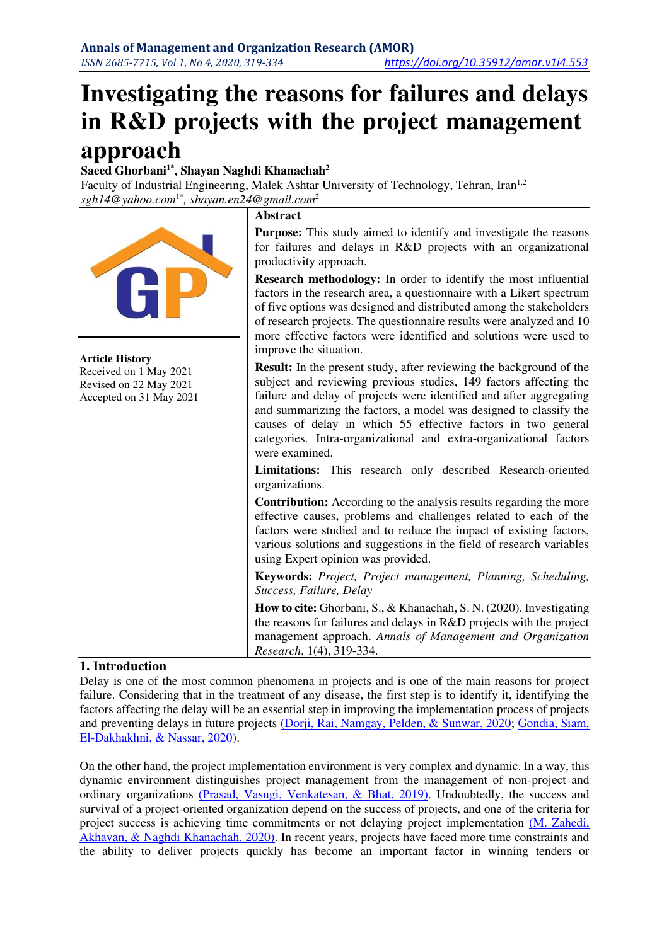# **Investigating the reasons for failures and delays in R&D projects with the project management approach**

**Saeed Ghorbani1\*, Shayan Naghdi Khanachah<sup>2</sup>**

Faculty of Industrial Engineering, Malek Ashtar University of Technology, Tehran, Iran<sup>1,2</sup> *[sgh14@yahoo.com](mailto:sgh14@yahoo.com1*)*1\**, [shayan.en24@gmail.com](mailto:shayan.en24@gmail.com)*<sup>2</sup>



## **1. Introduction**

Delay is one of the most common phenomena in projects and is one of the main reasons for project failure. Considering that in the treatment of any disease, the first step is to identify it, identifying the factors affecting the delay will be an essential step in improving the implementation process of projects and preventing delays in future projects [\(Dorji, Rai, Namgay, Pelden, & Sunwar, 2020;](#page-7-0) [Gondia, Siam,](#page-7-1)  [El-Dakhakhni, & Nassar, 2020\).](#page-7-1)

On the other hand, the project implementation environment is very complex and dynamic. In a way, this dynamic environment distinguishes project management from the management of non-project and ordinary organizations [\(Prasad, Vasugi, Venkatesan, & Bhat, 2019\).](#page-7-2) Undoubtedly, the success and survival of a project-oriented organization depend on the success of projects, and one of the criteria for project success is achieving time commitments or not delaying project implementation (M. Zahedi, Akhavan, & Naghdi Khanachah, 2020). In recent years, projects have faced more time constraints and the ability to deliver projects quickly has become an important factor in winning tenders or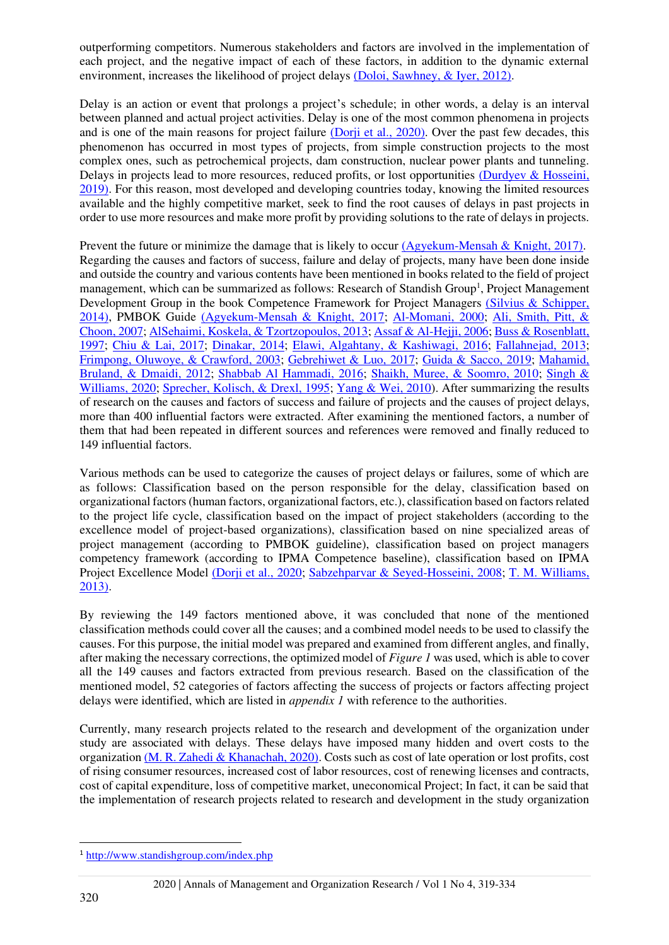outperforming competitors. Numerous stakeholders and factors are involved in the implementation of each project, and the negative impact of each of these factors, in addition to the dynamic external environment, increases the likelihood of project delays [\(Doloi, Sawhney, & Iyer, 2012\).](#page-7-3)

Delay is an action or event that prolongs a project's schedule; in other words, a delay is an interval between planned and actual project activities. Delay is one of the most common phenomena in projects and is one of the main reasons for project failure [\(Dorji et al., 2020\).](#page-7-0) Over the past few decades, this phenomenon has occurred in most types of projects, from simple construction projects to the most complex ones, such as petrochemical projects, dam construction, nuclear power plants and tunneling. Delays in projects lead to more resources, reduced profits, or lost opportunities (Durdyev & Hosseini, 2019). For this reason, most developed and developing countries today, knowing the limited resources available and the highly competitive market, seek to find the root causes of delays in past projects in order to use more resources and make more profit by providing solutions to the rate of delays in projects.

Prevent the future or minimize the damage that is likely to occur [\(Agyekum-Mensah & Knight, 2017\).](#page-6-0) Regarding the causes and factors of success, failure and delay of projects, many have been done inside and outside the country and various contents have been mentioned in books related to the field of project management, which can be summarized as follows: Research of Standish Group<sup>1</sup>, Project Management Development Group in the book Competence Framework for Project Managers (Silvius & Schipper, 2014), PMBOK Guide [\(Agyekum-Mensah & Knight, 2017;](#page-6-0) [Al-Momani, 2000;](#page-6-1) [Ali, Smith, Pitt, &](#page-6-2)  [Choon, 2007;](#page-6-2) [AlSehaimi, Koskela, & Tzortzopoulos, 2013;](#page-6-3) [Assaf & Al-Hejji, 2006;](#page-6-4) [Buss & Rosenblatt,](#page-7-5)  [1997;](#page-7-5) [Chiu & Lai, 2017;](#page-7-6) [Dinakar, 2014;](#page-7-7) [Elawi, Algahtany, & Kashiwagi, 2016;](#page-7-8) [Fallahnejad, 2013;](#page-7-9) [Frimpong, Oluwoye, & Crawford, 2003;](#page-7-10) [Gebrehiwet & Luo, 2017;](#page-7-11) [Guida & Sacco, 2019;](#page-7-12) [Mahamid,](#page-7-13)  [Bruland, & Dmaidi, 2012;](#page-7-13) [Shabbab Al Hammadi, 2016;](#page-8-2) [Shaikh, Muree, & Soomro, 2010;](#page-8-3) [Singh &](#page-8-4)  [Williams, 2020;](#page-8-4) [Sprecher, Kolisch, & Drexl, 1995;](#page-8-5) [Yang & Wei, 2010\)](#page-8-6). After summarizing the results of research on the causes and factors of success and failure of projects and the causes of project delays, more than 400 influential factors were extracted. After examining the mentioned factors, a number of them that had been repeated in different sources and references were removed and finally reduced to 149 influential factors.

Various methods can be used to categorize the causes of project delays or failures, some of which are as follows: Classification based on the person responsible for the delay, classification based on organizational factors (human factors, organizational factors, etc.), classification based on factors related to the project life cycle, classification based on the impact of project stakeholders (according to the excellence model of project-based organizations), classification based on nine specialized areas of project management (according to PMBOK guideline), classification based on project managers competency framework (according to IPMA Competence baseline), classification based on IPMA Project Excellence Model [\(Dorji et al., 2020;](#page-7-0) [Sabzehparvar & Seyed-Hosseini, 2008;](#page-7-14) T. M. Williams, [2013\).](#page-8-7)

By reviewing the 149 factors mentioned above, it was concluded that none of the mentioned classification methods could cover all the causes; and a combined model needs to be used to classify the causes. For this purpose, the initial model was prepared and examined from different angles, and finally, after making the necessary corrections, the optimized model of *Figure 1* was used, which is able to cover all the 149 causes and factors extracted from previous research. Based on the classification of the mentioned model, 52 categories of factors affecting the success of projects or factors affecting project delays were identified, which are listed in *appendix 1* with reference to the authorities.

Currently, many research projects related to the research and development of the organization under study are associated with delays. These delays have imposed many hidden and overt costs to the organizatio[n \(M. R. Zahedi & Khanachah, 2020\).](#page-8-8) Costs such as cost of late operation or lost profits, cost of rising consumer resources, increased cost of labor resources, cost of renewing licenses and contracts, cost of capital expenditure, loss of competitive market, uneconomical Project; In fact, it can be said that the implementation of research projects related to research and development in the study organization

<sup>1</sup> <http://www.standishgroup.com/index.php>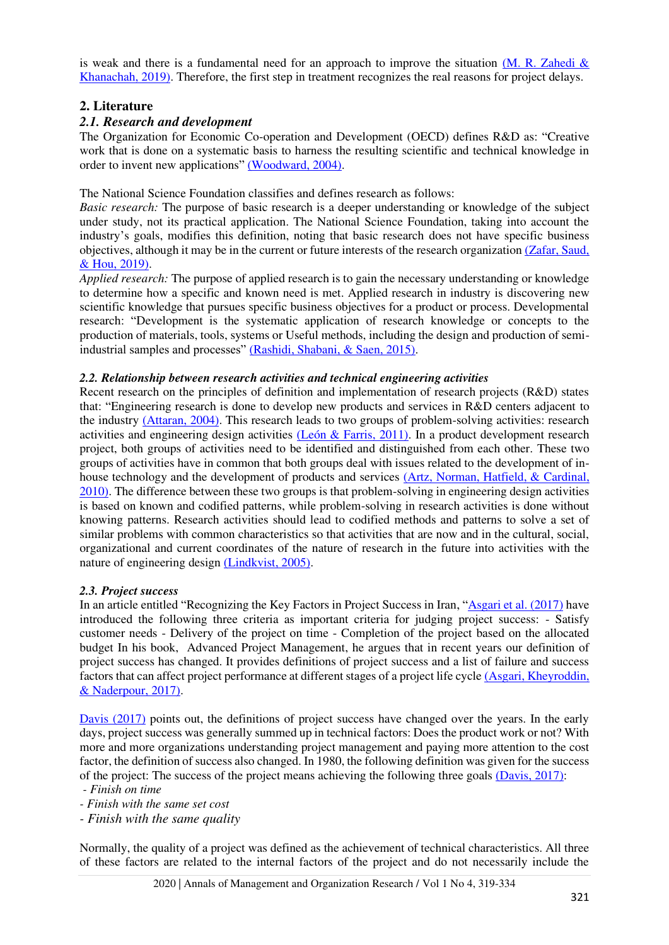is weak and there is a fundamental need for an approach to improve the situation (M. R. Zahedi  $\&$ Khanachah, 2019). Therefore, the first step in treatment recognizes the real reasons for project delays.

## **2. Literature**

## *2.1. Research and development*

The Organization for Economic Co-operation and Development (OECD) defines R&D as: "Creative work that is done on a systematic basis to harness the resulting scientific and technical knowledge in order to invent new applications" [\(Woodward, 2004\).](#page-8-10)

The National Science Foundation classifies and defines research as follows:

*Basic research:* The purpose of basic research is a deeper understanding or knowledge of the subject under study, not its practical application. The National Science Foundation, taking into account the industry's goals, modifies this definition, noting that basic research does not have specific business objectives, although it may be in the current or future interests of the research organization [\(Zafar, Saud,](#page-8-11)  & Hou, 2019).

*Applied research:* The purpose of applied research is to gain the necessary understanding or knowledge to determine how a specific and known need is met. Applied research in industry is discovering new scientific knowledge that pursues specific business objectives for a product or process. Developmental research: "Development is the systematic application of research knowledge or concepts to the production of materials, tools, systems or Useful methods, including the design and production of semiindustrial samples and processes" [\(Rashidi, Shabani, & Saen, 2015\).](#page-7-15)

### *2.2. Relationship between research activities and technical engineering activities*

Recent research on the principles of definition and implementation of research projects (R&D) states that: "Engineering research is done to develop new products and services in R&D centers adjacent to the industry [\(Attaran, 2004\).](#page-6-5) This research leads to two groups of problem-solving activities: research activities and engineering design activities [\(León & Farris, 2011\).](#page-7-16) In a product development research project, both groups of activities need to be identified and distinguished from each other. These two groups of activities have in common that both groups deal with issues related to the development of inhouse technology and the development of products and services [\(Artz, Norman, Hatfield, & Cardinal,](#page-6-6)  2010). The difference between these two groups is that problem-solving in engineering design activities is based on known and codified patterns, while problem-solving in research activities is done without knowing patterns. Research activities should lead to codified methods and patterns to solve a set of similar problems with common characteristics so that activities that are now and in the cultural, social, organizational and current coordinates of the nature of research in the future into activities with the nature of engineering design [\(Lindkvist, 2005\).](#page-7-17)

#### *2.3. Project success*

In an article entitled "Recognizing the Key Factors in Project Success in Iran, "[Asgari et al. \(2017\)](#page-6-7) have introduced the following three criteria as important criteria for judging project success: - Satisfy customer needs - Delivery of the project on time - Completion of the project based on the allocated budget In his book, Advanced Project Management, he argues that in recent years our definition of project success has changed. It provides definitions of project success and a list of failure and success factors that can affect project performance at different stages of a project life cycle [\(Asgari, Kheyroddin,](#page-6-7)  & Naderpour, 2017).

[Davis \(2017\)](#page-7-18) points out, the definitions of project success have changed over the years. In the early days, project success was generally summed up in technical factors: Does the product work or not? With more and more organizations understanding project management and paying more attention to the cost factor, the definition of success also changed. In 1980, the following definition was given for the success of the project: The success of the project means achieving the following three goals [\(Davis, 2017\):](#page-7-18)

*- Finish on time* 

- *Finish with the same set cost*
- *Finish with the same quality*

Normally, the quality of a project was defined as the achievement of technical characteristics. All three of these factors are related to the internal factors of the project and do not necessarily include the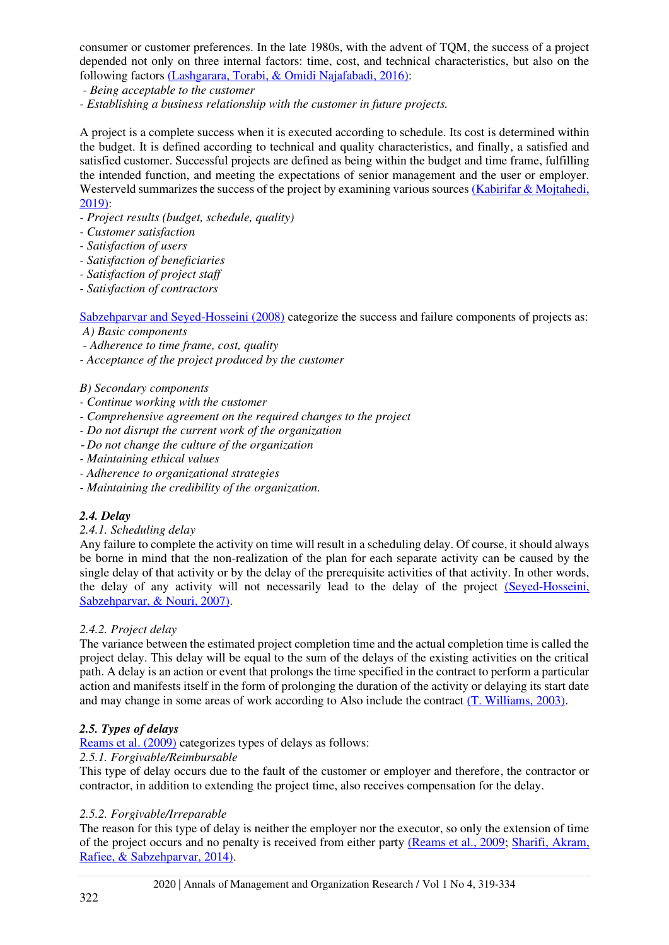consumer or customer preferences. In the late 1980s, with the advent of TQM, the success of a project depended not only on three internal factors: time, cost, and technical characteristics, but also on the following factors [\(Lashgarara, Torabi, & Omidi Najafabadi, 2016\):](#page-7-19)

- *Being acceptable to the customer*
- *Establishing a business relationship with the customer in future projects.*

A project is a complete success when it is executed according to schedule. Its cost is determined within the budget. It is defined according to technical and quality characteristics, and finally, a satisfied and satisfied customer. Successful projects are defined as being within the budget and time frame, fulfilling the intended function, and meeting the expectations of senior management and the user or employer. Westerveld summarizes the success of the project by examining various sources (Kabirifar & Mojtahedi, 2019):

- *Project results (budget, schedule, quality)*
- *Customer satisfaction*
- *Satisfaction of users*
- *Satisfaction of beneficiaries*
- *Satisfaction of project staff*
- *Satisfaction of contractors*

[Sabzehparvar and Seyed-Hosseini \(2008\)](#page-7-14) categorize the success and failure components of projects as:

- *A) Basic components*
- *Adherence to time frame, cost, quality*
- *Acceptance of the project produced by the customer*

#### *B) Secondary components*

- *Continue working with the customer*
- *Comprehensive agreement on the required changes to the project*
- *Do not disrupt the current work of the organization*
- - *Do not change the culture of the organization*
- *Maintaining ethical values*
- *Adherence to organizational strategies*
- *Maintaining the credibility of the organization.*

#### *2.4. Delay*

#### *2.4.1. Scheduling delay*

Any failure to complete the activity on time will result in a scheduling delay. Of course, it should always be borne in mind that the non-realization of the plan for each separate activity can be caused by the single delay of that activity or by the delay of the prerequisite activities of that activity. In other words, the delay of any activity will not necessarily lead to the delay of the project [\(Seyed-Hosseini,](#page-8-12)  Sabzehparvar, & Nouri, 2007).

#### *2.4.2. Project delay*

The variance between the estimated project completion time and the actual completion time is called the project delay. This delay will be equal to the sum of the delays of the existing activities on the critical path. A delay is an action or event that prolongs the time specified in the contract to perform a particular action and manifests itself in the form of prolonging the duration of the activity or delaying its start date and may change in some areas of work according to Also include the contract [\(T. Williams, 2003\).](#page-8-13)

#### *2.5. Types of delays*

[Reams et al. \(2009\)](#page-7-21) categorizes types of delays as follows:

#### *2.5.1. Forgivable/Reimbursable*

This type of delay occurs due to the fault of the customer or employer and therefore, the contractor or contractor, in addition to extending the project time, also receives compensation for the delay.

#### *2.5.2. Forgivable/Irreparable*

The reason for this type of delay is neither the employer nor the executor, so only the extension of time of the project occurs and no penalty is received from either party [\(Reams et al., 2009;](#page-7-21) [Sharifi, Akram,](#page-8-14)  [Rafiee, & Sabzehparvar, 2014\).](#page-8-14)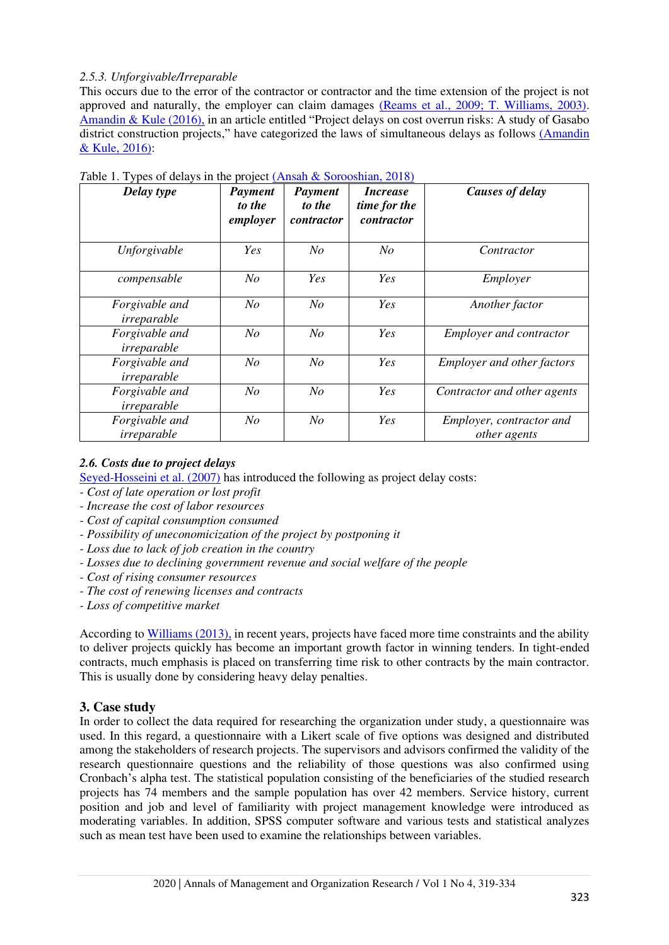## *2.5.3. Unforgivable/Irreparable*

This occurs due to the error of the contractor or contractor and the time extension of the project is not approved and naturally, the employer can claim damages [\(Reams et al., 2009; T. Williams, 2003\).](#page-7-21) [Amandin & Kule \(2016\),](#page-6-8) in an article entitled "Project delays on cost overrun risks: A study of Gasabo district construction projects," have categorized the laws of simultaneous delays as follows [\(Amandin](#page-6-8)  & Kule, 2016):

| Delay type                    | Payment<br>to the<br>employer | Payment<br>to the<br>contractor | <i>Increase</i><br>time for the<br>contractor | <b>Causes of delay</b>                   |
|-------------------------------|-------------------------------|---------------------------------|-----------------------------------------------|------------------------------------------|
| Unforgivable                  | Yes                           | N <sub>O</sub>                  | $N_{O}$                                       | Contractor                               |
| compensable                   | No                            | <b>Yes</b>                      | <b>Yes</b>                                    | Employer                                 |
| Forgivable and<br>irreparable | No                            | N <sub>O</sub>                  | Yes                                           | Another factor                           |
| Forgivable and<br>irreparable | No                            | No                              | <b>Yes</b>                                    | <b>Employer and contractor</b>           |
| Forgivable and<br>irreparable | No                            | N <sub>O</sub>                  | <i>Yes</i>                                    | <b>Employer and other factors</b>        |
| Forgivable and<br>irreparable | No                            | No                              | <b>Yes</b>                                    | Contractor and other agents              |
| Forgivable and<br>irreparable | No                            | N <sub>O</sub>                  | Yes                                           | Employer, contractor and<br>other agents |

*Table 1. Types of delays in the project* (*Ansah & Sorooshian, 2018*)

## *2.6. Costs due to project delays*

[Seyed-Hosseini et al. \(2007\)](#page-8-12) has introduced the following as project delay costs:

- *Cost of late operation or lost profit*
- *Increase the cost of labor resources*
- *Cost of capital consumption consumed*
- *Possibility of uneconomicization of the project by postponing it*
- *Loss due to lack of job creation in the country*
- *Losses due to declining government revenue and social welfare of the people*
- *Cost of rising consumer resources*
- *The cost of renewing licenses and contracts*
- *Loss of competitive market*

According to [Williams \(2013\),](#page-8-7) in recent years, projects have faced more time constraints and the ability to deliver projects quickly has become an important growth factor in winning tenders. In tight-ended contracts, much emphasis is placed on transferring time risk to other contracts by the main contractor. This is usually done by considering heavy delay penalties.

# **3. Case study**

In order to collect the data required for researching the organization under study, a questionnaire was used. In this regard, a questionnaire with a Likert scale of five options was designed and distributed among the stakeholders of research projects. The supervisors and advisors confirmed the validity of the research questionnaire questions and the reliability of those questions was also confirmed using Cronbach's alpha test. The statistical population consisting of the beneficiaries of the studied research projects has 74 members and the sample population has over 42 members. Service history, current position and job and level of familiarity with project management knowledge were introduced as moderating variables. In addition, SPSS computer software and various tests and statistical analyzes such as mean test have been used to examine the relationships between variables.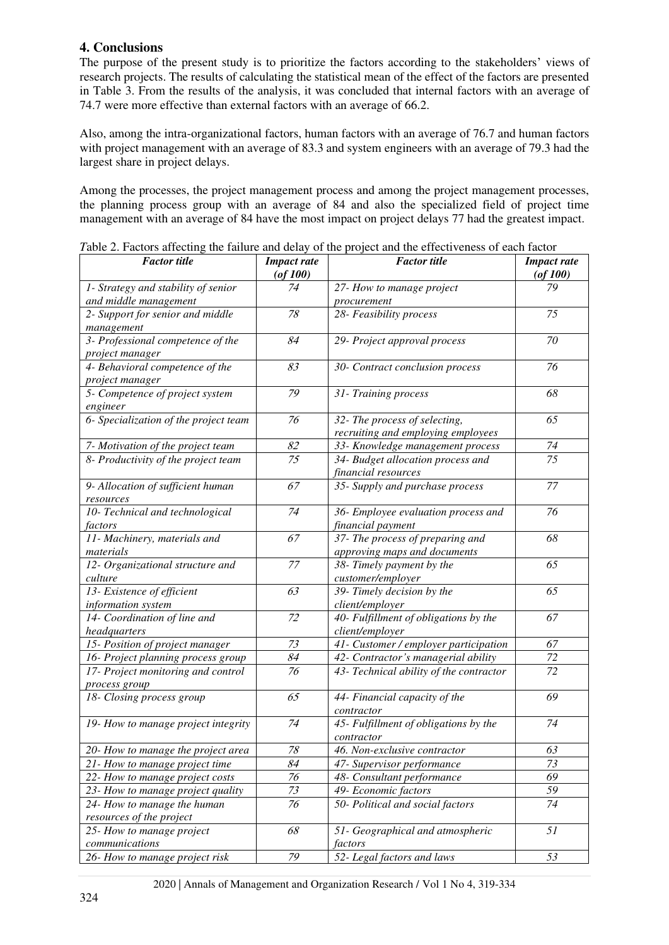# **4. Conclusions**

The purpose of the present study is to prioritize the factors according to the stakeholders' views of research projects. The results of calculating the statistical mean of the effect of the factors are presented in Table 3. From the results of the analysis, it was concluded that internal factors with an average of 74.7 were more effective than external factors with an average of 66.2.

Also, among the intra-organizational factors, human factors with an average of 76.7 and human factors with project management with an average of 83.3 and system engineers with an average of 79.3 had the largest share in project delays.

Among the processes, the project management process and among the project management processes, the planning process group with an average of 84 and also the specialized field of project time management with an average of 84 have the most impact on project delays 77 had the greatest impact.

| <b>Factor</b> title                   | <b>Impact rate</b><br>$($ of 100 $)$ | <b>Factor</b> title                     | <b>Impact rate</b><br>$($ of 100 $)$ |
|---------------------------------------|--------------------------------------|-----------------------------------------|--------------------------------------|
| 1- Strategy and stability of senior   | 74                                   | 27- How to manage project               | 79                                   |
| and middle management                 |                                      | procurement                             |                                      |
| 2- Support for senior and middle      | 78                                   | 28- Feasibility process                 | 75                                   |
| management                            |                                      |                                         |                                      |
| 3- Professional competence of the     | 84                                   | 29- Project approval process            | 70                                   |
| project manager                       |                                      |                                         |                                      |
| 4- Behavioral competence of the       | 83                                   | 30- Contract conclusion process         | 76                                   |
| project manager                       |                                      |                                         |                                      |
| 5- Competence of project system       | 79                                   | 31- Training process                    | 68                                   |
| engineer                              |                                      |                                         |                                      |
| 6- Specialization of the project team | 76                                   | 32- The process of selecting,           | 65                                   |
|                                       |                                      | recruiting and employing employees      |                                      |
| 7- Motivation of the project team     | 82                                   | 33- Knowledge management process        | 74                                   |
| 8- Productivity of the project team   | 75                                   | 34- Budget allocation process and       | $\overline{75}$                      |
|                                       |                                      | financial resources                     |                                      |
| 9- Allocation of sufficient human     | 67                                   | 35- Supply and purchase process         | 77                                   |
| resources                             |                                      |                                         |                                      |
| 10- Technical and technological       | 74                                   | 36- Employee evaluation process and     | 76                                   |
| factors                               |                                      | financial payment                       |                                      |
| 11- Machinery, materials and          | 67                                   | 37- The process of preparing and        | 68                                   |
| materials                             |                                      | approving maps and documents            |                                      |
| 12- Organizational structure and      | 77                                   | 38- Timely payment by the               | 65                                   |
| culture                               |                                      | customer/employer                       |                                      |
| 13- Existence of efficient            | 63                                   | 39- Timely decision by the              | 65                                   |
| information system                    |                                      | client/employer                         |                                      |
| 14- Coordination of line and          | 72                                   | 40- Fulfillment of obligations by the   | 67                                   |
| headquarters                          |                                      | client/employer                         |                                      |
| 15- Position of project manager       | 73                                   | 41- Customer / employer participation   | 67                                   |
| 16- Project planning process group    | 84                                   | 42- Contractor's managerial ability     | 72                                   |
| 17- Project monitoring and control    | 76                                   | 43- Technical ability of the contractor | 72                                   |
| process group                         |                                      |                                         |                                      |
| 18- Closing process group             | 65                                   | 44- Financial capacity of the           | 69                                   |
|                                       |                                      | contractor                              |                                      |
| 19- How to manage project integrity   | 74                                   | 45- Fulfillment of obligations by the   | 74                                   |
|                                       |                                      | contractor                              |                                      |
| 20- How to manage the project area    | 78                                   | 46. Non-exclusive contractor            | 63                                   |
| 21- How to manage project time        | 84                                   | 47- Supervisor performance              | 73                                   |
| 22- How to manage project costs       | 76                                   | 48- Consultant performance              | 69                                   |
| 23- How to manage project quality     | 73                                   | 49- Economic factors                    | 59                                   |
| 24- How to manage the human           | 76                                   | 50- Political and social factors        | 74                                   |
| resources of the project              |                                      |                                         |                                      |
| 25- How to manage project             | 68                                   | 51- Geographical and atmospheric        | 51                                   |
| communications                        |                                      | factors                                 |                                      |
| 26- How to manage project risk        | 79                                   | 52- Legal factors and laws              | 53                                   |

*T*able 2. Factors affecting the failure and delay of the project and the effectiveness of each factor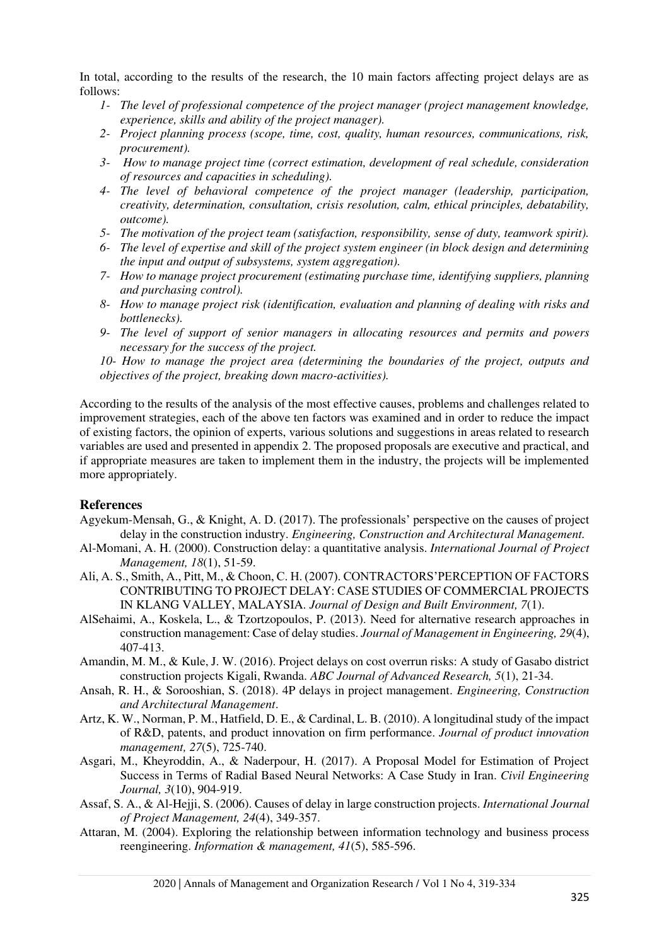In total, according to the results of the research, the 10 main factors affecting project delays are as follows:

- *1- The level of professional competence of the project manager (project management knowledge, experience, skills and ability of the project manager).*
- *2- Project planning process (scope, time, cost, quality, human resources, communications, risk, procurement).*
- *3- How to manage project time (correct estimation, development of real schedule, consideration of resources and capacities in scheduling).*
- *4- The level of behavioral competence of the project manager (leadership, participation, creativity, determination, consultation, crisis resolution, calm, ethical principles, debatability, outcome).*
- *5- The motivation of the project team (satisfaction, responsibility, sense of duty, teamwork spirit).*
- *6- The level of expertise and skill of the project system engineer (in block design and determining the input and output of subsystems, system aggregation).*
- *7- How to manage project procurement (estimating purchase time, identifying suppliers, planning and purchasing control).*
- *8- How to manage project risk (identification, evaluation and planning of dealing with risks and bottlenecks).*
- *9- The level of support of senior managers in allocating resources and permits and powers necessary for the success of the project.*

*10- How to manage the project area (determining the boundaries of the project, outputs and objectives of the project, breaking down macro-activities).* 

According to the results of the analysis of the most effective causes, problems and challenges related to improvement strategies, each of the above ten factors was examined and in order to reduce the impact of existing factors, the opinion of experts, various solutions and suggestions in areas related to research variables are used and presented in appendix 2. The proposed proposals are executive and practical, and if appropriate measures are taken to implement them in the industry, the projects will be implemented more appropriately.

## **References**

- <span id="page-6-0"></span>Agyekum-Mensah, G., & Knight, A. D. (2017). The professionals' perspective on the causes of project delay in the construction industry. *Engineering, Construction and Architectural Management.*
- <span id="page-6-1"></span>Al-Momani, A. H. (2000). Construction delay: a quantitative analysis. *International Journal of Project Management, 18*(1), 51-59.
- <span id="page-6-2"></span>Ali, A. S., Smith, A., Pitt, M., & Choon, C. H. (2007). CONTRACTORS'PERCEPTION OF FACTORS CONTRIBUTING TO PROJECT DELAY: CASE STUDIES OF COMMERCIAL PROJECTS IN KLANG VALLEY, MALAYSIA. *Journal of Design and Built Environment, 7*(1).
- <span id="page-6-3"></span>AlSehaimi, A., Koskela, L., & Tzortzopoulos, P. (2013). Need for alternative research approaches in construction management: Case of delay studies. *Journal of Management in Engineering, 29*(4), 407-413.
- <span id="page-6-8"></span>Amandin, M. M., & Kule, J. W. (2016). Project delays on cost overrun risks: A study of Gasabo district construction projects Kigali, Rwanda. *ABC Journal of Advanced Research, 5*(1), 21-34.
- <span id="page-6-9"></span>Ansah, R. H., & Sorooshian, S. (2018). 4P delays in project management. *Engineering, Construction and Architectural Management*.
- <span id="page-6-6"></span>Artz, K. W., Norman, P. M., Hatfield, D. E., & Cardinal, L. B. (2010). A longitudinal study of the impact of R&D, patents, and product innovation on firm performance. *Journal of product innovation management, 27*(5), 725-740.
- <span id="page-6-7"></span>Asgari, M., Kheyroddin, A., & Naderpour, H. (2017). A Proposal Model for Estimation of Project Success in Terms of Radial Based Neural Networks: A Case Study in Iran. *Civil Engineering Journal, 3*(10), 904-919.
- <span id="page-6-4"></span>Assaf, S. A., & Al-Hejji, S. (2006). Causes of delay in large construction projects. *International Journal of Project Management, 24*(4), 349-357.
- <span id="page-6-5"></span>Attaran, M. (2004). Exploring the relationship between information technology and business process reengineering. *Information & management, 41*(5), 585-596.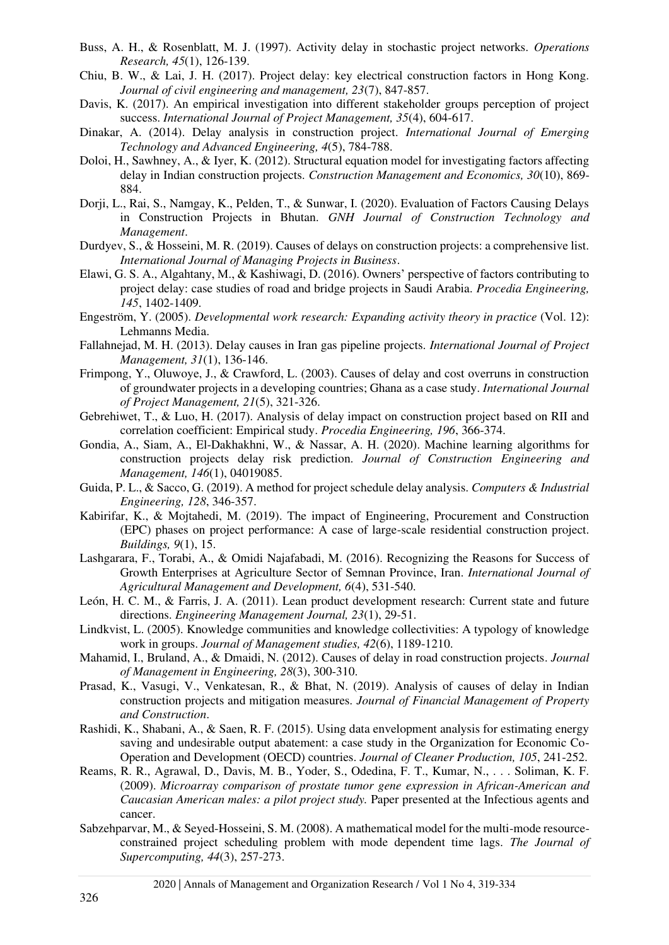- <span id="page-7-5"></span>Buss, A. H., & Rosenblatt, M. J. (1997). Activity delay in stochastic project networks. *Operations Research, 45*(1), 126-139.
- <span id="page-7-6"></span>Chiu, B. W., & Lai, J. H. (2017). Project delay: key electrical construction factors in Hong Kong. *Journal of civil engineering and management, 23*(7), 847-857.
- <span id="page-7-18"></span>Davis, K. (2017). An empirical investigation into different stakeholder groups perception of project success. *International Journal of Project Management, 35*(4), 604-617.
- <span id="page-7-7"></span>Dinakar, A. (2014). Delay analysis in construction project. *International Journal of Emerging Technology and Advanced Engineering, 4*(5), 784-788.
- <span id="page-7-3"></span>Doloi, H., Sawhney, A., & Iyer, K. (2012). Structural equation model for investigating factors affecting delay in Indian construction projects. *Construction Management and Economics, 30*(10), 869- 884.
- <span id="page-7-0"></span>Dorji, L., Rai, S., Namgay, K., Pelden, T., & Sunwar, I. (2020). Evaluation of Factors Causing Delays in Construction Projects in Bhutan. *GNH Journal of Construction Technology and Management*.
- <span id="page-7-4"></span>Durdyev, S., & Hosseini, M. R. (2019). Causes of delays on construction projects: a comprehensive list. *International Journal of Managing Projects in Business*.
- <span id="page-7-8"></span>Elawi, G. S. A., Algahtany, M., & Kashiwagi, D. (2016). Owners' perspective of factors contributing to project delay: case studies of road and bridge projects in Saudi Arabia. *Procedia Engineering, 145*, 1402-1409.
- <span id="page-7-22"></span>Engeström, Y. (2005). *Developmental work research: Expanding activity theory in practice* (Vol. 12): Lehmanns Media.
- <span id="page-7-9"></span>Fallahnejad, M. H. (2013). Delay causes in Iran gas pipeline projects. *International Journal of Project Management, 31*(1), 136-146.
- <span id="page-7-10"></span>Frimpong, Y., Oluwoye, J., & Crawford, L. (2003). Causes of delay and cost overruns in construction of groundwater projects in a developing countries; Ghana as a case study. *International Journal of Project Management, 21*(5), 321-326.
- <span id="page-7-11"></span>Gebrehiwet, T., & Luo, H. (2017). Analysis of delay impact on construction project based on RII and correlation coefficient: Empirical study. *Procedia Engineering, 196*, 366-374.
- <span id="page-7-1"></span>Gondia, A., Siam, A., El-Dakhakhni, W., & Nassar, A. H. (2020). Machine learning algorithms for construction projects delay risk prediction. *Journal of Construction Engineering and Management, 146*(1), 04019085.
- <span id="page-7-12"></span>Guida, P. L., & Sacco, G. (2019). A method for project schedule delay analysis. *Computers & Industrial Engineering, 128*, 346-357.
- <span id="page-7-20"></span>Kabirifar, K., & Mojtahedi, M. (2019). The impact of Engineering, Procurement and Construction (EPC) phases on project performance: A case of large-scale residential construction project. *Buildings, 9*(1), 15.
- <span id="page-7-19"></span>Lashgarara, F., Torabi, A., & Omidi Najafabadi, M. (2016). Recognizing the Reasons for Success of Growth Enterprises at Agriculture Sector of Semnan Province, Iran. *International Journal of Agricultural Management and Development, 6*(4), 531-540.
- <span id="page-7-16"></span>León, H. C. M., & Farris, J. A. (2011). Lean product development research: Current state and future directions. *Engineering Management Journal, 23*(1), 29-51.
- <span id="page-7-17"></span>Lindkvist, L. (2005). Knowledge communities and knowledge collectivities: A typology of knowledge work in groups. *Journal of Management studies, 42*(6), 1189-1210.
- <span id="page-7-13"></span>Mahamid, I., Bruland, A., & Dmaidi, N. (2012). Causes of delay in road construction projects. *Journal of Management in Engineering, 28*(3), 300-310.
- <span id="page-7-2"></span>Prasad, K., Vasugi, V., Venkatesan, R., & Bhat, N. (2019). Analysis of causes of delay in Indian construction projects and mitigation measures. *Journal of Financial Management of Property and Construction*.
- <span id="page-7-15"></span>Rashidi, K., Shabani, A., & Saen, R. F. (2015). Using data envelopment analysis for estimating energy saving and undesirable output abatement: a case study in the Organization for Economic Co-Operation and Development (OECD) countries. *Journal of Cleaner Production, 105*, 241-252.
- <span id="page-7-21"></span>Reams, R. R., Agrawal, D., Davis, M. B., Yoder, S., Odedina, F. T., Kumar, N., . . . Soliman, K. F. (2009). *Microarray comparison of prostate tumor gene expression in African-American and Caucasian American males: a pilot project study.* Paper presented at the Infectious agents and cancer.
- <span id="page-7-14"></span>Sabzehparvar, M., & Seyed-Hosseini, S. M. (2008). A mathematical model for the multi-mode resourceconstrained project scheduling problem with mode dependent time lags. *The Journal of Supercomputing, 44*(3), 257-273.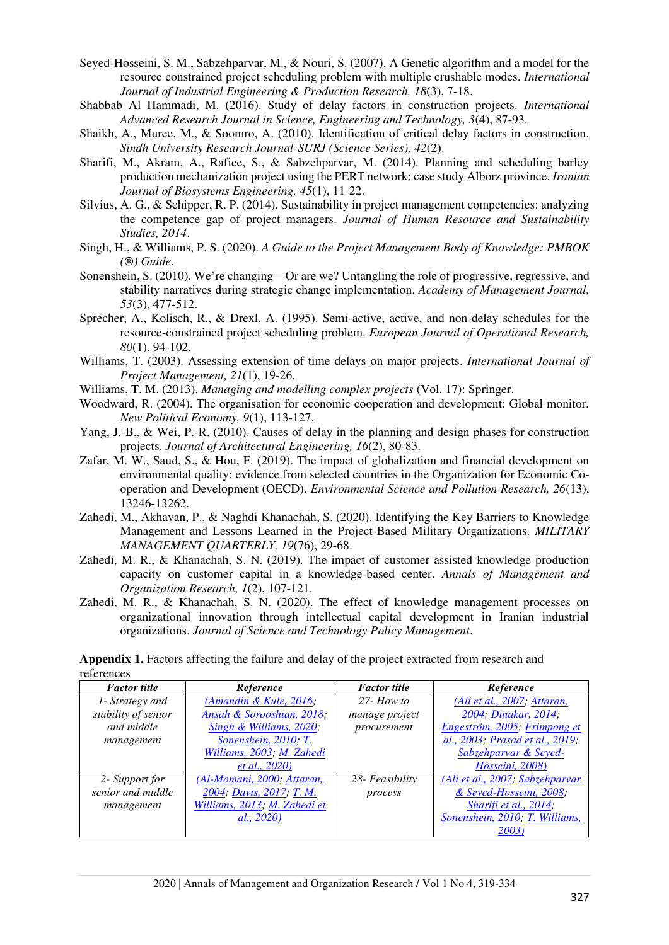- <span id="page-8-12"></span>Seyed-Hosseini, S. M., Sabzehparvar, M., & Nouri, S. (2007). A Genetic algorithm and a model for the resource constrained project scheduling problem with multiple crushable modes. *International Journal of Industrial Engineering & Production Research, 18*(3), 7-18.
- <span id="page-8-2"></span>Shabbab Al Hammadi, M. (2016). Study of delay factors in construction projects. *International Advanced Research Journal in Science, Engineering and Technology, 3*(4), 87-93.
- <span id="page-8-3"></span>Shaikh, A., Muree, M., & Soomro, A. (2010). Identification of critical delay factors in construction. *Sindh University Research Journal-SURJ (Science Series), 42*(2).
- <span id="page-8-14"></span>Sharifi, M., Akram, A., Rafiee, S., & Sabzehparvar, M. (2014). Planning and scheduling barley production mechanization project using the PERT network: case study Alborz province. *Iranian Journal of Biosystems Engineering, 45*(1), 11-22.
- <span id="page-8-1"></span>Silvius, A. G., & Schipper, R. P. (2014). Sustainability in project management competencies: analyzing the competence gap of project managers. *Journal of Human Resource and Sustainability Studies, 2014*.
- <span id="page-8-4"></span>Singh, H., & Williams, P. S. (2020). *A Guide to the Project Management Body of Knowledge: PMBOK (®) Guide*.
- <span id="page-8-15"></span>Sonenshein, S. (2010). We're changing—Or are we? Untangling the role of progressive, regressive, and stability narratives during strategic change implementation. *Academy of Management Journal, 53*(3), 477-512.
- <span id="page-8-5"></span>Sprecher, A., Kolisch, R., & Drexl, A. (1995). Semi-active, active, and non-delay schedules for the resource-constrained project scheduling problem. *European Journal of Operational Research, 80*(1), 94-102.
- <span id="page-8-13"></span>Williams, T. (2003). Assessing extension of time delays on major projects. *International Journal of Project Management, 21*(1), 19-26.
- <span id="page-8-7"></span>Williams, T. M. (2013). *Managing and modelling complex projects* (Vol. 17): Springer.
- <span id="page-8-10"></span>Woodward, R. (2004). The organisation for economic cooperation and development: Global monitor. *New Political Economy, 9*(1), 113-127.
- <span id="page-8-6"></span>Yang, J.-B., & Wei, P.-R. (2010). Causes of delay in the planning and design phases for construction projects. *Journal of Architectural Engineering, 16*(2), 80-83.
- <span id="page-8-11"></span>Zafar, M. W., Saud, S., & Hou, F. (2019). The impact of globalization and financial development on environmental quality: evidence from selected countries in the Organization for Economic Cooperation and Development (OECD). *Environmental Science and Pollution Research, 26*(13), 13246-13262.
- <span id="page-8-0"></span>Zahedi, M., Akhavan, P., & Naghdi Khanachah, S. (2020). Identifying the Key Barriers to Knowledge Management and Lessons Learned in the Project-Based Military Organizations. *MILITARY MANAGEMENT QUARTERLY, 19*(76), 29-68.
- <span id="page-8-9"></span>Zahedi, M. R., & Khanachah, S. N. (2019). The impact of customer assisted knowledge production capacity on customer capital in a knowledge-based center. *Annals of Management and Organization Research, 1*(2), 107-121.
- <span id="page-8-8"></span>Zahedi, M. R., & Khanachah, S. N. (2020). The effect of knowledge management processes on organizational innovation through intellectual capital development in Iranian industrial organizations. *Journal of Science and Technology Policy Management*.

**Appendix 1.** Factors affecting the failure and delay of the project extracted from research and references

| <b>Factor</b> title | Reference                    | <b>Factor</b> title | Reference                       |
|---------------------|------------------------------|---------------------|---------------------------------|
| 1- Strategy and     | (Amandin & Kule, 2016;       | $27 - How to$       | (Ali et al., 2007; Attaran,     |
| stability of senior | Ansah & Sorooshian, 2018;    | manage project      | 2004; Dinakar, 2014;            |
| and middle          | Singh & Williams, 2020;      | procurement         | Engeström, 2005; Frimpong et    |
| management          | Sonenshein, 2010; T.         |                     | al., 2003; Prasad et al., 2019; |
|                     | Williams, 2003; M. Zahedi    |                     | Sabzehparvar & Seyed-           |
|                     | <i>et al.</i> , 2020)        |                     | Hosseini, 2008)                 |
| 2- Support for      | (Al-Momani, 2000; Attaran,   | 28- Feasibility     | (Ali et al., 2007; Sabzehparvar |
| senior and middle   | 2004; Davis, 2017; T. M.     | process             | & Seyed-Hosseini, 2008;         |
| management          | Williams, 2013; M. Zahedi et |                     | Sharifi et al., 2014;           |
|                     | <i>al., 2020)</i>            |                     | Sonenshein, 2010; T. Williams,  |
|                     |                              |                     | 2003.                           |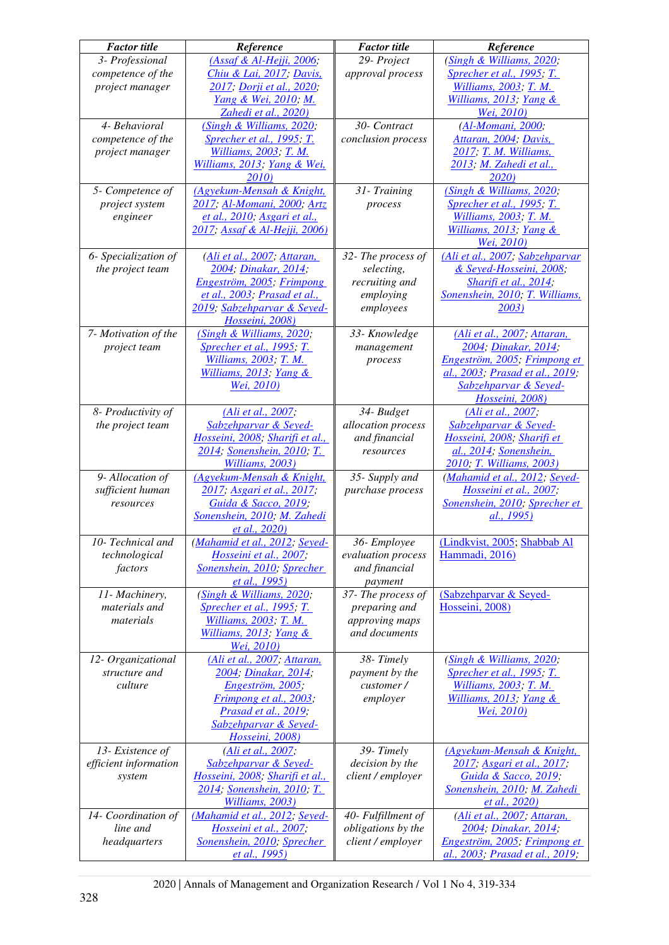| <b>Factor</b> title      | Reference                                                     | <b>Factor</b> title                     | Reference                                            |
|--------------------------|---------------------------------------------------------------|-----------------------------------------|------------------------------------------------------|
| 3- Professional          | (Assaf & Al-Hejji, 2006;                                      | 29- Project                             | (Singh & Williams, 2020;                             |
| competence of the        | Chiu & Lai, 2017; Davis,                                      | approval process                        | <b>Sprecher et al., 1995; T.</b>                     |
| project manager          | 2017; Dorji et al., 2020;                                     |                                         | Williams, 2003; T. M.                                |
|                          | <u>Yang &amp; Wei, 2010; M.</u><br>Zahedi et al., 2020)       |                                         | Williams, 2013; Yang &<br>Wei, 2010)                 |
| 4- Behavioral            | (Singh & Williams, 2020;                                      | 30- Contract                            | (Al-Momani, 2000;                                    |
| competence of the        | <b>Sprecher et al., 1995; T.</b>                              | conclusion process                      | Attaran, 2004; Davis,                                |
| project manager          | Williams, 2003; T. M.                                         |                                         | 2017; T. M. Williams,                                |
|                          | Williams, 2013; Yang & Wei,                                   |                                         | 2013; M. Zahedi et al.,                              |
|                          | 2010)                                                         |                                         | 2020)                                                |
| 5- Competence of         | (Agyekum-Mensah & Knight,                                     | 31- Training                            | (Singh & Williams, 2020;                             |
| project system           | 2017; Al-Momani, 2000; Artz                                   | process                                 | <b>Sprecher et al., 1995; T.</b>                     |
| engineer                 | et al., 2010; Asgari et al.,<br>2017; Assaf & Al-Hejji, 2006) |                                         | Williams, 2003; T. M.<br>Williams, 2013; Yang $\&$   |
|                          |                                                               |                                         | <u>Wei, 2010)</u>                                    |
| 6- Specialization of     | (Ali et al., 2007; Attaran,                                   | 32- The process of                      | (Ali et al., 2007; Sabzehparvar                      |
| the project team         | 2004; Dinakar, 2014;                                          | selecting,                              | & Seyed-Hosseini, 2008;                              |
|                          | Engeström, 2005; Frimpong                                     | recruiting and                          | Sharifi et al., 2014;                                |
|                          | et al., 2003; Prasad et al.,                                  | employing                               | Sonenshein, 2010; T. Williams,                       |
|                          | 2019; Sabzehparvar & Seyed-                                   | employees                               | <u>2003)</u>                                         |
| 7- Motivation of the     | Hosseini, 2008)<br>(Singh & Williams, 2020;                   | 33- Knowledge                           | (Ali et al., 2007; Attaran,                          |
| project team             | Sprecher et al., 1995; T.                                     | management                              | 2004; Dinakar, 2014;                                 |
|                          | Williams, 2003; T. M.                                         | process                                 | Engeström, 2005; Frimpong et                         |
|                          | Williams, 2013; Yang &                                        |                                         | al., 2003; Prasad et al., 2019;                      |
|                          | Wei, 2010)                                                    |                                         | Sabzehparvar & Seyed-                                |
|                          |                                                               |                                         | Hosseini, 2008)                                      |
| 8- Productivity of       | (Ali et al., 2007;                                            | 34- Budget                              | (Ali et al., 2007;                                   |
| the project team         | Sabzehparvar & Seyed-<br>Hosseini, 2008; Sharifi et al.,      | allocation process<br>and financial     | Sabzehparvar & Seyed-<br>Hosseini, 2008; Sharifi et  |
|                          | 2014; Sonenshein, 2010; T.                                    | resources                               | al., 2014; Sonenshein,                               |
|                          | Williams, 2003)                                               |                                         | 2010; T. Williams, 2003)                             |
| 9- Allocation of         | (Agyekum-Mensah & Knight,                                     | 35- Supply and                          | (Mahamid et al., 2012; Seyed-                        |
| sufficient human         | 2017, Asgari et al., 2017,                                    | purchase process                        | Hosseini et al., 2007;                               |
| resources                | Guida & Sacco, 2019;                                          |                                         | Sonenshein, 2010; Sprecher et                        |
|                          | Sonenshein, 2010; M. Zahedi<br>et al., 2020)                  |                                         | al., 1995)                                           |
| 10- Technical and        | (Mahamid et al., 2012; Seyed-                                 | 36-Employee                             | (Lindkvist, 2005; Shabbab Al                         |
| technological            | Hosseini et al., 2007;                                        | evaluation process                      | Hammadi, 2016)                                       |
| factors                  | Sonenshein, 2010; Sprecher                                    | and financial                           |                                                      |
|                          | et al., 1995)                                                 | payment                                 |                                                      |
| 11- Machinery,           | (Singh & Williams, 2020;                                      | 37- The process of                      | (Sabzehparvar & Seyed-                               |
| materials and            | <b>Sprecher et al., 1995; T.</b>                              | preparing and                           | Hosseini, 2008)                                      |
| materials                | <i>Williams, 2003; T. M.</i><br>Williams, 2013; Yang &        | approving maps<br>and documents         |                                                      |
|                          | Wei, 2010)                                                    |                                         |                                                      |
| 12- Organizational       | (Ali et al., 2007; Attaran,                                   | 38-Timely                               | (Singh & Williams, 2020;                             |
| structure and            | 2004; Dinakar, 2014;                                          | payment by the                          | <b>Sprecher et al., 1995; T.</b>                     |
| culture                  | Engeström, 2005;                                              | customer/                               | Williams, 2003; T. M.                                |
|                          | Frimpong et al., 2003;                                        | employer                                | Williams, 2013; Yang &                               |
|                          | Prasad et al., 2019;                                          |                                         | Wei, 2010)                                           |
|                          | Sabzehparvar & Seyed-<br>Hosseini, 2008)                      |                                         |                                                      |
| 13- Existence of         | (Ali et al., 2007;                                            | 39-Timely                               | (Agyekum-Mensah & Knight,                            |
| efficient information    | Sabzehparvar & Seyed-                                         | decision by the                         | 2017; Asgari et al., 2017;                           |
| system                   | Hosseini, 2008; Sharifi et al.,                               | client / employer                       | Guida & Sacco, 2019;                                 |
|                          | 2014; Sonenshein, 2010; T.                                    |                                         | Sonenshein, 2010; M. Zahedi                          |
|                          | Williams, 2003)                                               |                                         | et al., 2020)                                        |
| 14- Coordination of      | (Mahamid et al., 2012; Seyed-                                 | 40- Fulfillment of                      | (Ali et al., 2007; Attaran,                          |
| line and<br>headquarters | Hosseini et al., 2007;<br>Sonenshein, 2010; Sprecher          | obligations by the<br>client / employer | 2004; Dinakar, 2014;<br>Engeström, 2005; Frimpong et |
|                          | et al., 1995)                                                 |                                         | al., 2003; Prasad et al., 2019;                      |
|                          |                                                               |                                         |                                                      |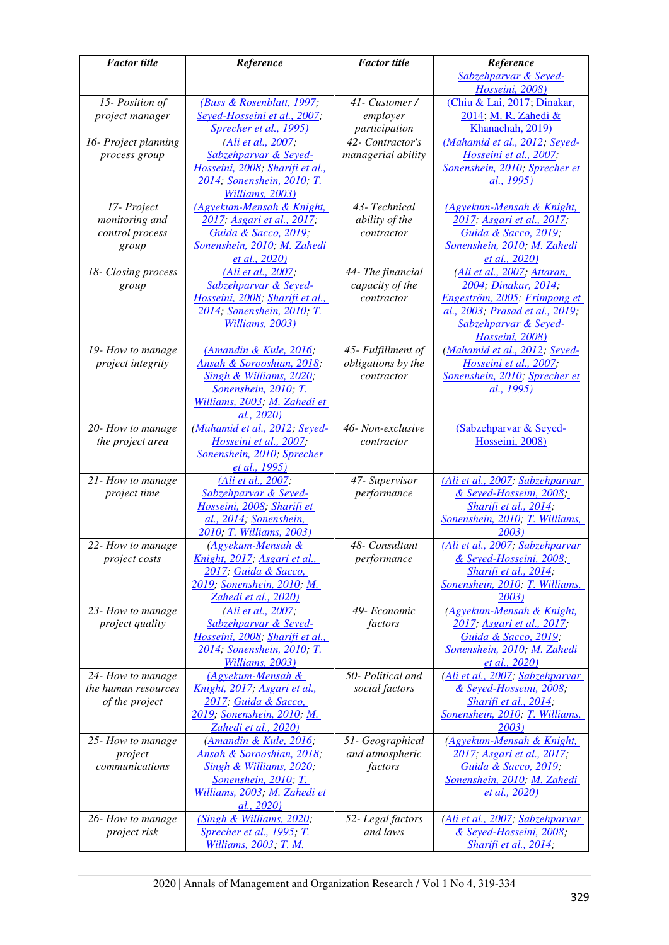| <b>Factor</b> title       | Reference                                                | <b>Factor</b> title        | Reference                                                |
|---------------------------|----------------------------------------------------------|----------------------------|----------------------------------------------------------|
|                           |                                                          |                            | Sabzehparvar & Seyed-<br>Hosseini, 2008)                 |
| 15- Position of           | (Buss & Rosenblatt, 1997;                                | 41- Customer /             | (Chiu & Lai, 2017; Dinakar,                              |
| project manager           | Seyed-Hosseini et al., 2007;                             | employer                   | 2014; M. R. Zahedi &                                     |
|                           | Sprecher et al., 1995)                                   | participation              | Khanachah, 2019)                                         |
| 16- Project planning      | (Ali et al., 2007;                                       | 42- Contractor's           | (Mahamid et al., 2012; Seyed-                            |
| process group             | Sabzehparvar & Seyed-                                    | managerial ability         | Hosseini et al., 2007;                                   |
|                           | Hosseini, 2008; Sharifi et al.,                          |                            | Sonenshein, 2010; Sprecher et                            |
|                           | 2014; Sonenshein, 2010; T.<br>Williams, 2003)            |                            | al., 1995)                                               |
| 17- Project               | (Agyekum-Mensah & Knight,                                | 43- Technical              | (Agyekum-Mensah & Knight,                                |
| monitoring and            | 2017; Asgari et al., 2017;                               | ability of the             | 2017; Asgari et al., 2017;                               |
| control process           | Guida & Sacco, 2019;                                     | contractor                 | Guida & Sacco, 2019;                                     |
| group                     | Sonenshein, 2010; M. Zahedi<br>et al., 2020)             |                            | Sonenshein, 2010; M. Zahedi<br>et al., 2020)             |
| 18- Closing process       | (Ali et al., 2007;                                       | 44- The financial          | (Ali et al., 2007; Attaran,                              |
| group                     | Sabzehparvar & Seyed-                                    | capacity of the            | 2004; Dinakar, 2014;                                     |
|                           | Hosseini, 2008; Sharifi et al.,                          | contractor                 | Engeström, 2005; Frimpong et                             |
|                           | 2014; Sonenshein, 2010; T.<br>Williams, 2003)            |                            | al., 2003; Prasad et al., 2019;<br>Sabzehparvar & Seyed- |
|                           |                                                          |                            | Hosseini, 2008)                                          |
| 19- How to manage         | (Amandin & Kule, 2016;                                   | 45- Fulfillment of         | (Mahamid et al., 2012; Seyed-                            |
| project integrity         | Ansah & Sorooshian, 2018;                                | obligations by the         | Hosseini et al., 2007;                                   |
|                           | Singh & Williams, 2020;                                  | contractor                 | Sonenshein, 2010; Sprecher et                            |
|                           | Sonenshein, 2010; T.                                     |                            | al., 1995)                                               |
|                           | Williams, 2003; M. Zahedi et<br>al., 2020)               |                            |                                                          |
| 20- How to manage         | (Mahamid et al., 2012; Seyed-                            | 46- Non-exclusive          | (Sabzehparvar & Seyed-                                   |
| the project area          | Hosseini et al., 2007;                                   | contractor                 | Hosseini, 2008)                                          |
|                           | Sonenshein, 2010; Sprecher                               |                            |                                                          |
|                           | et al., 1995)                                            |                            |                                                          |
| 21- How to manage         | (Ali et al., 2007;                                       | 47- Supervisor             | (Ali et al., 2007; Sabzehparvar                          |
| project time              | Sabzehparvar & Seyed-<br>Hosseini, 2008; Sharifi et      | performance                | & Seyed-Hosseini, 2008;<br>Sharifi et al., 2014;         |
|                           | al., 2014; Sonenshein,                                   |                            | Sonenshein, 2010; T. Williams,                           |
|                           | 2010; T. Williams, 2003)                                 |                            | 2003)                                                    |
| 22- How to manage         | (Agyekum-Mensah &                                        | 48- Consultant             | (Ali et al., 2007; Sabzehparvar                          |
| <i>project costs</i>      | Knight, 2017; Asgari et al.,                             | performance                | & Seyed-Hosseini, 2008;                                  |
|                           | 2017, Guida & Sacco,                                     |                            | Sharifi et al., 2014;                                    |
|                           | 2019; Sonenshein, 2010; M.                               |                            | Sonenshein, 2010; T. Williams,                           |
|                           | Zahedi et al., 2020)                                     |                            | 2003)                                                    |
| 23- How to manage         | (Ali et al., 2007;                                       | 49- Economic               | (Agyekum-Mensah & Knight,                                |
| project quality           | Sabzehparvar & Seyed-<br>Hosseini, 2008; Sharifi et al., | factors                    | 2017; Asgari et al., 2017;                               |
|                           | 2014; Sonenshein, 2010; T.                               |                            | Guida & Sacco, 2019;<br>Sonenshein, 2010; M. Zahedi      |
|                           | Williams, 2003)                                          |                            | et al., 2020)                                            |
| 24- How to manage         | (Agyekum-Mensah &                                        | 50- Political and          | (Ali et al., 2007; Sabzehparvar                          |
| the human resources       | Knight, 2017; Asgari et al.,                             | social factors             | & Seyed-Hosseini, 2008;                                  |
| of the project            | 2017; Guida & Sacco,                                     |                            | Sharifi et al., 2014;                                    |
|                           | 2019; Sonenshein, 2010; M.                               |                            | Sonenshein, 2010; T. Williams,                           |
|                           | Zahedi et al., 2020)                                     |                            | 2003)                                                    |
| 25- How to manage         | (Amandin & Kule, 2016;                                   | 51- Geographical           | (Agyekum-Mensah & Knight,                                |
| project<br>communications | Ansah & Sorooshian, 2018;<br>Singh & Williams, 2020;     | and atmospheric<br>factors | 2017; Asgari et al., 2017;<br>Guida & Sacco, 2019;       |
|                           | Sonenshein, 2010; T.                                     |                            | Sonenshein, 2010; M. Zahedi                              |
|                           | Williams, 2003; M. Zahedi et                             |                            | et al., 2020)                                            |
|                           | al., 2020)                                               |                            |                                                          |
| 26- How to manage         | (Singh & Williams, 2020;                                 | 52-Legal factors           | (Ali et al., 2007; Sabzehparvar                          |
| project risk              | <b>Sprecher et al., 1995; T.</b>                         | and laws                   | & Seyed-Hosseini, 2008;                                  |
|                           | Williams, 2003; T. M.                                    |                            | Sharifi et al., 2014;                                    |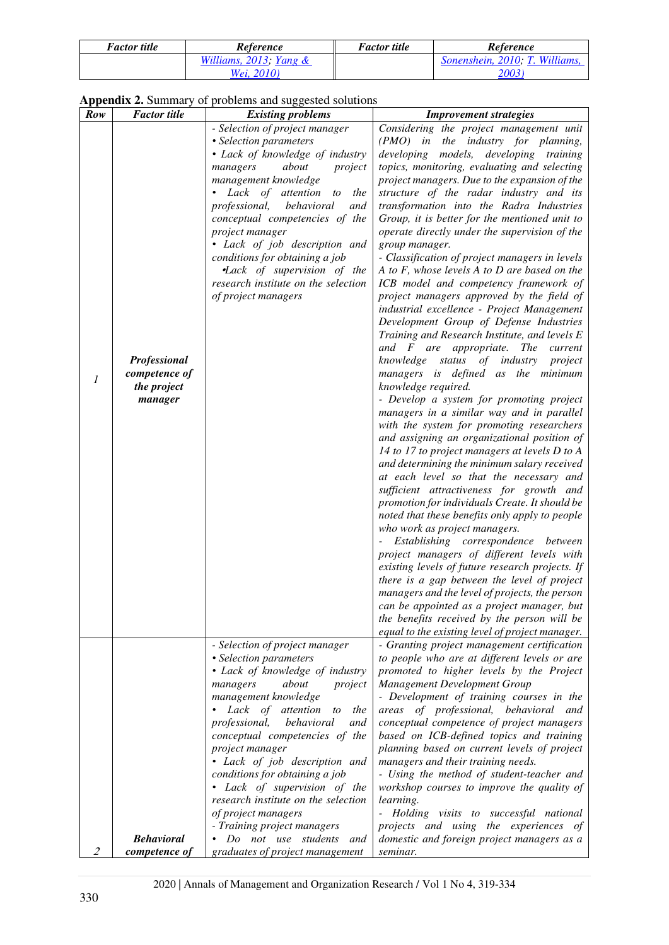| <b>Factor title</b> | Reference                    | <i>Factor title</i> | Reference                      |
|---------------------|------------------------------|---------------------|--------------------------------|
|                     | Williams, $2013$ ; Yang $\&$ |                     | Sonenshein, 2010: T. Williams. |
|                     | <i>Wei.</i> 2010)            |                     | 20031                          |

**Appendix 2.** Summary of problems and suggested solutions

| Row            | <b>Factor</b> title                                     | <b>Existing problems</b>                                                                                                                                                                                                                                                                                                                                                                                                                                                                                         | <b>Improvement strategies</b>                                                                                                                                                                                                                                                                                                                                                                                                                                                                                                                                                                                                                                                                                                                                                                                                                                                                                                                                                                                                                                                                                                                                                                                                                                                                                                                                                                                                                                                                                                                                                                                                                                                                                                                                                       |
|----------------|---------------------------------------------------------|------------------------------------------------------------------------------------------------------------------------------------------------------------------------------------------------------------------------------------------------------------------------------------------------------------------------------------------------------------------------------------------------------------------------------------------------------------------------------------------------------------------|-------------------------------------------------------------------------------------------------------------------------------------------------------------------------------------------------------------------------------------------------------------------------------------------------------------------------------------------------------------------------------------------------------------------------------------------------------------------------------------------------------------------------------------------------------------------------------------------------------------------------------------------------------------------------------------------------------------------------------------------------------------------------------------------------------------------------------------------------------------------------------------------------------------------------------------------------------------------------------------------------------------------------------------------------------------------------------------------------------------------------------------------------------------------------------------------------------------------------------------------------------------------------------------------------------------------------------------------------------------------------------------------------------------------------------------------------------------------------------------------------------------------------------------------------------------------------------------------------------------------------------------------------------------------------------------------------------------------------------------------------------------------------------------|
| $\mathfrak{1}$ | Professional<br>competence of<br>the project<br>manager | - Selection of project manager<br>• Selection parameters<br>• Lack of knowledge of industry<br>about<br>managers<br>project<br>management knowledge<br>$\bullet$ Lack<br>of attention<br>to<br>the<br>professional,<br>behavioral<br>and<br>conceptual competencies of the<br>project manager<br>• Lack of job description and<br>conditions for obtaining a job<br><b>Lack</b> of supervision of the<br>research institute on the selection<br>of project managers                                              | Considering the project management unit<br>(PMO) in the industry for planning,<br>developing models, developing training<br>topics, monitoring, evaluating and selecting<br>project managers. Due to the expansion of the<br>structure of the radar industry and its<br>transformation into the Radra Industries<br>Group, it is better for the mentioned unit to<br>operate directly under the supervision of the<br>group manager.<br>- Classification of project managers in levels<br>A to $F$ , whose levels $A$ to $D$ are based on the<br>ICB model and competency framework of<br>project managers approved by the field of<br>industrial excellence - Project Management<br>Development Group of Defense Industries<br>Training and Research Institute, and levels E<br>and $F$ are appropriate. The current<br>knowledge status<br>of industry project<br>managers is defined as the minimum<br>knowledge required.<br>- Develop a system for promoting project<br>managers in a similar way and in parallel<br>with the system for promoting researchers<br>and assigning an organizational position of<br>14 to 17 to project managers at levels D to A<br>and determining the minimum salary received<br>at each level so that the necessary and<br>sufficient attractiveness for growth and<br>promotion for individuals Create. It should be<br>noted that these benefits only apply to people<br>who work as project managers.<br>Establishing correspondence between<br>project managers of different levels with<br>existing levels of future research projects. If<br>there is a gap between the level of project<br>managers and the level of projects, the person<br>can be appointed as a project manager, but<br>the benefits received by the person will be |
|                | <b>Behavioral</b>                                       | - Selection of project manager<br>• Selection parameters<br>• Lack of knowledge of industry<br>managers<br>about<br>project<br>management knowledge<br>• Lack of attention<br>to<br>the<br>behavioral<br>professional,<br>and<br>conceptual competencies of the<br>project manager<br>• Lack of job description and<br>conditions for obtaining a job<br>• Lack of supervision of the<br>research institute on the selection<br>of project managers<br>- Training project managers<br>Do not use students<br>and | equal to the existing level of project manager.<br>- Granting project management certification<br>to people who are at different levels or are<br>promoted to higher levels by the Project<br>Management Development Group<br>- Development of training courses in the<br>areas of professional, behavioral and<br>conceptual competence of project managers<br>based on ICB-defined topics and training<br>planning based on current levels of project<br>managers and their training needs.<br>- Using the method of student-teacher and<br>workshop courses to improve the quality of<br>learning.<br>- Holding visits to successful national<br>projects and using the experiences of<br>domestic and foreign project managers as a                                                                                                                                                                                                                                                                                                                                                                                                                                                                                                                                                                                                                                                                                                                                                                                                                                                                                                                                                                                                                                             |
| 2              | competence of                                           | graduates of project management                                                                                                                                                                                                                                                                                                                                                                                                                                                                                  | seminar.                                                                                                                                                                                                                                                                                                                                                                                                                                                                                                                                                                                                                                                                                                                                                                                                                                                                                                                                                                                                                                                                                                                                                                                                                                                                                                                                                                                                                                                                                                                                                                                                                                                                                                                                                                            |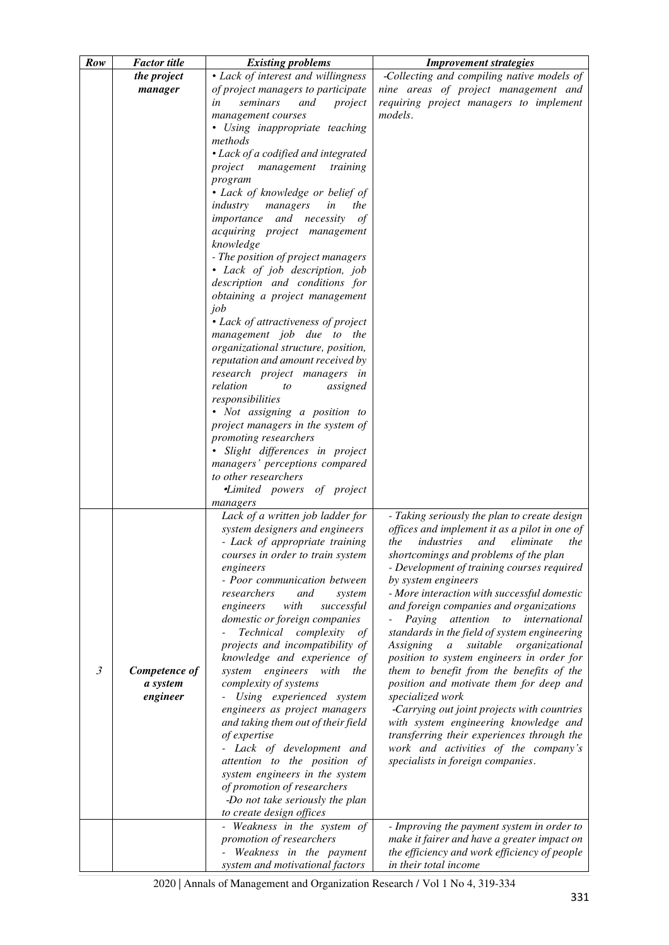| Row            | <b>Factor</b> title | <b>Existing problems</b>                                           | <b>Improvement strategies</b>                                                                 |
|----------------|---------------------|--------------------------------------------------------------------|-----------------------------------------------------------------------------------------------|
|                | the project         | • Lack of interest and willingness                                 | -Collecting and compiling native models of                                                    |
|                | manager             | of project managers to participate                                 | nine areas of project management and                                                          |
|                |                     | seminars<br>and<br>in<br>project                                   | requiring project managers to implement                                                       |
|                |                     | management courses                                                 | models.                                                                                       |
|                |                     | • Using inappropriate teaching                                     |                                                                                               |
|                |                     | methods                                                            |                                                                                               |
|                |                     | • Lack of a codified and integrated                                |                                                                                               |
|                |                     | training<br>project management                                     |                                                                                               |
|                |                     | program                                                            |                                                                                               |
|                |                     | • Lack of knowledge or belief of                                   |                                                                                               |
|                |                     | industry<br>managers<br>in<br>the                                  |                                                                                               |
|                |                     | importance and necessity<br>$\sigma f$                             |                                                                                               |
|                |                     | acquiring project management                                       |                                                                                               |
|                |                     | knowledge                                                          |                                                                                               |
|                |                     | - The position of project managers                                 |                                                                                               |
|                |                     | • Lack of job description, job                                     |                                                                                               |
|                |                     | description and conditions for                                     |                                                                                               |
|                |                     | obtaining a project management                                     |                                                                                               |
|                |                     | job                                                                |                                                                                               |
|                |                     | • Lack of attractiveness of project                                |                                                                                               |
|                |                     | management job due to the<br>organizational structure, position,   |                                                                                               |
|                |                     | reputation and amount received by                                  |                                                                                               |
|                |                     | research project managers in                                       |                                                                                               |
|                |                     | relation<br>assigned<br>to                                         |                                                                                               |
|                |                     | responsibilities                                                   |                                                                                               |
|                |                     | • Not assigning a position to                                      |                                                                                               |
|                |                     | project managers in the system of                                  |                                                                                               |
|                |                     | promoting researchers                                              |                                                                                               |
|                |                     | · Slight differences in project                                    |                                                                                               |
|                |                     | managers' perceptions compared                                     |                                                                                               |
|                |                     | to other researchers                                               |                                                                                               |
|                |                     | <i>•Limited powers of project</i>                                  |                                                                                               |
|                |                     | managers                                                           |                                                                                               |
|                |                     | Lack of a written job ladder for<br>system designers and engineers | - Taking seriously the plan to create design<br>offices and implement it as a pilot in one of |
|                |                     | - Lack of appropriate training                                     | industries<br>the<br>and<br>eliminate<br>the                                                  |
|                |                     | courses in order to train system                                   | shortcomings and problems of the plan                                                         |
|                |                     | engineers                                                          | - Development of training courses required                                                    |
|                |                     | - Poor communication between                                       | by system engineers                                                                           |
|                |                     | researchers<br>and<br>system                                       | - More interaction with successful domestic                                                   |
|                |                     | engineers<br>with<br>successful                                    | and foreign companies and organizations                                                       |
|                |                     | domestic or foreign companies                                      | Paying attention to international                                                             |
|                |                     | Technical complexity<br>οf                                         | standards in the field of system engineering                                                  |
|                |                     | projects and incompatibility of                                    | suitable<br>Assigning<br>$\mathfrak{a}$<br>organizational                                     |
| $\mathfrak{Z}$ | Competence of       | knowledge and experience of<br>system engineers with the           | position to system engineers in order for<br>them to benefit from the benefits of the         |
|                | a system            | complexity of systems                                              | position and motivate them for deep and                                                       |
|                | engineer            | - Using experienced system                                         | specialized work                                                                              |
|                |                     | engineers as project managers                                      | -Carrying out joint projects with countries                                                   |
|                |                     | and taking them out of their field                                 | with system engineering knowledge and                                                         |
|                |                     | of expertise                                                       | transferring their experiences through the                                                    |
|                |                     | - Lack of development and                                          | work and activities of the company's                                                          |
|                |                     | attention to the position of                                       | specialists in foreign companies.                                                             |
|                |                     | system engineers in the system                                     |                                                                                               |
|                |                     | of promotion of researchers                                        |                                                                                               |
|                |                     | -Do not take seriously the plan                                    |                                                                                               |
|                |                     | to create design offices<br>- Weakness in the system of            | - Improving the payment system in order to                                                    |
|                |                     | promotion of researchers                                           | make it fairer and have a greater impact on                                                   |
|                |                     | Weakness in the payment                                            | the efficiency and work efficiency of people                                                  |
|                |                     | system and motivational factors                                    | in their total income                                                                         |

2020 | Annals of Management and Organization Research / Vol 1 No 4, 319-334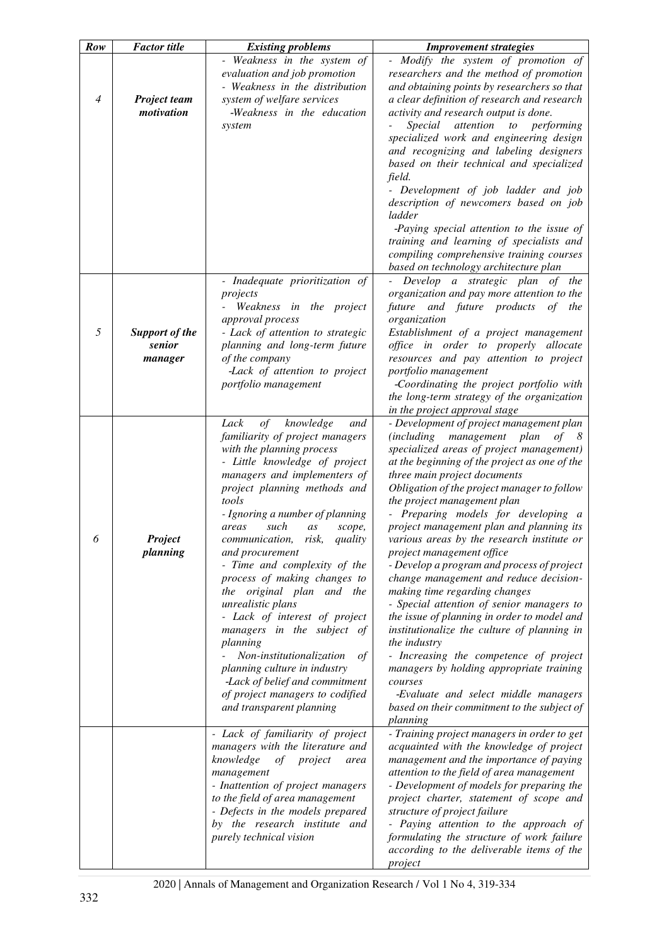| Row            | <b>Factor</b> title   | <b>Existing problems</b>                                    | <b>Improvement strategies</b>                                                |
|----------------|-----------------------|-------------------------------------------------------------|------------------------------------------------------------------------------|
|                |                       | - Weakness in the system of<br>evaluation and job promotion | Modify the system of promotion of<br>researchers and the method of promotion |
|                |                       | - Weakness in the distribution                              | and obtaining points by researchers so that                                  |
| $\overline{4}$ | <b>Project team</b>   | system of welfare services                                  | a clear definition of research and research                                  |
|                | motivation            | -Weakness in the education                                  | activity and research output is done.                                        |
|                |                       | system                                                      | Special<br>attention<br>$\iota$<br>performing                                |
|                |                       |                                                             | specialized work and engineering design                                      |
|                |                       |                                                             | and recognizing and labeling designers                                       |
|                |                       |                                                             | based on their technical and specialized<br>field.                           |
|                |                       |                                                             | - Development of job ladder and job                                          |
|                |                       |                                                             | description of newcomers based on job                                        |
|                |                       |                                                             | ladder                                                                       |
|                |                       |                                                             | -Paying special attention to the issue of                                    |
|                |                       |                                                             | training and learning of specialists and                                     |
|                |                       |                                                             | compiling comprehensive training courses                                     |
|                |                       |                                                             | based on technology architecture plan                                        |
|                |                       | - Inadequate prioritization of                              | Develop a strategic plan of the                                              |
|                |                       | projects                                                    | organization and pay more attention to the                                   |
|                |                       | Weakness in the project                                     | future and future products<br>of the                                         |
|                |                       | approval process                                            | organization                                                                 |
| 5              | <b>Support of the</b> | - Lack of attention to strategic                            | Establishment of a project management                                        |
|                | senior                | planning and long-term future                               | office in order to properly allocate                                         |
|                | manager               | of the company                                              | resources and pay attention to project                                       |
|                |                       | -Lack of attention to project                               | portfolio management                                                         |
|                |                       | portfolio management                                        | -Coordinating the project portfolio with                                     |
|                |                       |                                                             | the long-term strategy of the organization<br>in the project approval stage  |
|                |                       | $\sigma f$<br>knowledge<br>Lack<br>and                      | - Development of project management plan                                     |
|                |                       | familiarity of project managers                             | (including management<br>plan<br>$of \quad 8$                                |
|                |                       | with the planning process                                   | specialized areas of project management)                                     |
|                |                       | - Little knowledge of project                               | at the beginning of the project as one of the                                |
|                |                       | managers and implementers of                                | three main project documents                                                 |
|                |                       | project planning methods and                                | Obligation of the project manager to follow                                  |
|                |                       | tools                                                       | the project management plan                                                  |
|                |                       | - Ignoring a number of planning                             | - Preparing models for developing a                                          |
|                |                       | such<br>areas<br>as<br>scope,                               | project management plan and planning its                                     |
| 6              | Project               | communication, risk, quality                                | various areas by the research institute or                                   |
|                | planning              | and procurement                                             | project management office                                                    |
|                |                       | - Time and complexity of the                                | - Develop a program and process of project                                   |
|                |                       | process of making changes to                                | change management and reduce decision-                                       |
|                |                       | original plan and the<br>the                                | making time regarding changes                                                |
|                |                       | unrealistic plans                                           | - Special attention of senior managers to                                    |
|                |                       | - Lack of interest of project                               | the issue of planning in order to model and                                  |
|                |                       | managers in the subject of                                  | institutionalize the culture of planning in                                  |
|                |                       | planning<br>Non-institutionalization                        | the industry<br>- Increasing the competence of project                       |
|                |                       | of<br>planning culture in industry                          | managers by holding appropriate training                                     |
|                |                       | -Lack of belief and commitment                              | courses                                                                      |
|                |                       | of project managers to codified                             | -Evaluate and select middle managers                                         |
|                |                       | and transparent planning                                    | based on their commitment to the subject of                                  |
|                |                       |                                                             | planning                                                                     |
|                |                       | - Lack of familiarity of project                            | - Training project managers in order to get                                  |
|                |                       | managers with the literature and                            | acquainted with the knowledge of project                                     |
|                |                       | knowledge<br>of<br>project<br>area                          | management and the importance of paying                                      |
|                |                       | management                                                  | attention to the field of area management                                    |
|                |                       | - Inattention of project managers                           | - Development of models for preparing the                                    |
|                |                       | to the field of area management                             | project charter, statement of scope and                                      |
|                |                       | - Defects in the models prepared                            | structure of project failure                                                 |
|                |                       | by the research institute and                               | - Paying attention to the approach of                                        |
|                |                       | purely technical vision                                     | formulating the structure of work failure                                    |
|                |                       |                                                             | according to the deliverable items of the                                    |
|                |                       |                                                             | project                                                                      |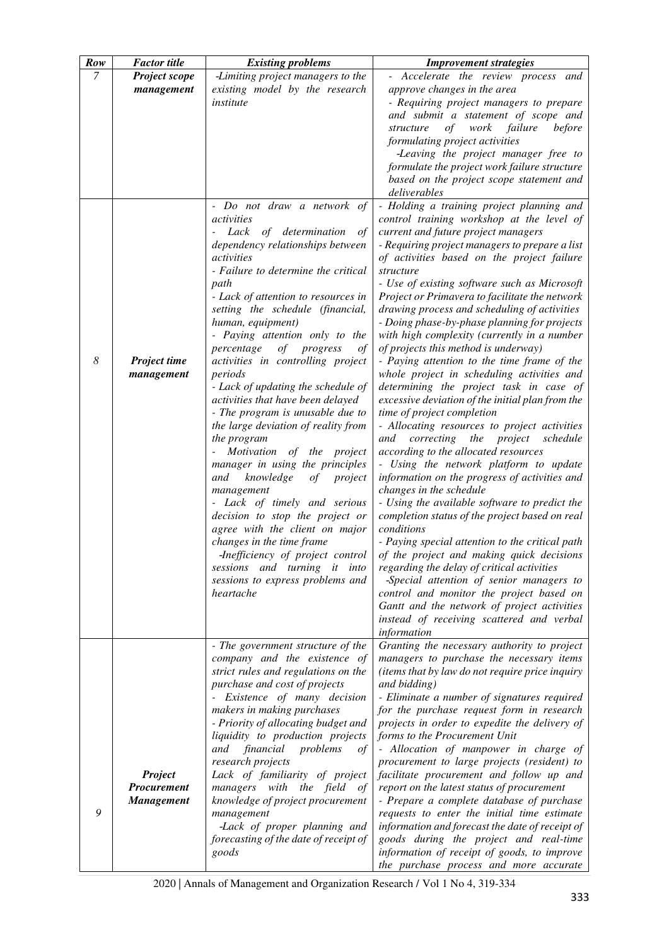| Row            | <b>Factor</b> title              | <b>Existing problems</b>                                                | <b>Improvement strategies</b>                                                                                                     |
|----------------|----------------------------------|-------------------------------------------------------------------------|-----------------------------------------------------------------------------------------------------------------------------------|
| $\overline{7}$ | Project scope                    | -Limiting project managers to the                                       | - Accelerate the review process and                                                                                               |
|                | management                       | existing model by the research                                          | approve changes in the area                                                                                                       |
|                |                                  | institute                                                               | - Requiring project managers to prepare                                                                                           |
|                |                                  |                                                                         | and submit a statement of scope and                                                                                               |
|                |                                  |                                                                         | before<br>structure<br>of<br>work<br>failure                                                                                      |
|                |                                  |                                                                         | formulating project activities                                                                                                    |
|                |                                  |                                                                         | -Leaving the project manager free to<br>formulate the project work failure structure                                              |
|                |                                  |                                                                         | based on the project scope statement and                                                                                          |
|                |                                  |                                                                         | deliverables                                                                                                                      |
|                |                                  | Do not draw a network of                                                | - Holding a training project planning and                                                                                         |
|                |                                  | activities                                                              | control training workshop at the level of                                                                                         |
|                |                                  | Lack of determination<br>οf                                             | current and future project managers                                                                                               |
|                |                                  | dependency relationships between                                        | - Requiring project managers to prepare a list                                                                                    |
|                |                                  | activities                                                              | of activities based on the project failure                                                                                        |
|                |                                  | - Failure to determine the critical                                     | structure                                                                                                                         |
|                |                                  | path<br>- Lack of attention to resources in                             | - Use of existing software such as Microsoft<br>Project or Primavera to facilitate the network                                    |
|                |                                  | setting the schedule (financial,                                        | drawing process and scheduling of activities                                                                                      |
|                |                                  | human, equipment)                                                       | - Doing phase-by-phase planning for projects                                                                                      |
|                |                                  | - Paying attention only to the                                          | with high complexity (currently in a number                                                                                       |
|                |                                  | percentage<br>of<br>progress<br>οf                                      | of projects this method is underway)                                                                                              |
| 8              | Project time                     | activities in controlling project                                       | - Paying attention to the time frame of the                                                                                       |
|                | management                       | periods                                                                 | whole project in scheduling activities and                                                                                        |
|                |                                  | - Lack of updating the schedule of                                      | determining the project task in case of                                                                                           |
|                |                                  | activities that have been delayed                                       | excessive deviation of the initial plan from the                                                                                  |
|                |                                  | - The program is unusable due to<br>the large deviation of reality from | time of project completion<br>- Allocating resources to project activities                                                        |
|                |                                  | the program                                                             | and<br>correcting<br>the project<br>schedule                                                                                      |
|                |                                  | Motivation of the project                                               | according to the allocated resources                                                                                              |
|                |                                  | manager in using the principles                                         | - Using the network platform to update                                                                                            |
|                |                                  | knowledge<br>of<br>project<br>and                                       | information on the progress of activities and                                                                                     |
|                |                                  | management                                                              | changes in the schedule                                                                                                           |
|                |                                  | - Lack of timely and serious                                            | - Using the available software to predict the                                                                                     |
|                |                                  | decision to stop the project or                                         | completion status of the project based on real                                                                                    |
|                |                                  | agree with the client on major                                          | conditions                                                                                                                        |
|                |                                  | changes in the time frame                                               | - Paying special attention to the critical path                                                                                   |
|                |                                  | sessions and turning it into                                            | -Inefficiency of project control $\sigma$ of the project and making quick decisions<br>regarding the delay of critical activities |
|                |                                  | sessions to express problems and                                        | -Special attention of senior managers to                                                                                          |
|                |                                  | heartache                                                               | control and monitor the project based on                                                                                          |
|                |                                  |                                                                         | Gantt and the network of project activities                                                                                       |
|                |                                  |                                                                         | instead of receiving scattered and verbal                                                                                         |
|                |                                  |                                                                         | information                                                                                                                       |
|                |                                  | - The government structure of the                                       | Granting the necessary authority to project                                                                                       |
|                |                                  | company and the existence of                                            | managers to purchase the necessary items                                                                                          |
|                |                                  | strict rules and regulations on the<br>purchase and cost of projects    | (items that by law do not require price inquiry<br>and bidding)                                                                   |
|                |                                  | - Existence of many decision                                            | - Eliminate a number of signatures required                                                                                       |
|                |                                  | makers in making purchases                                              | for the purchase request form in research                                                                                         |
|                |                                  | - Priority of allocating budget and                                     | projects in order to expedite the delivery of                                                                                     |
|                |                                  | liquidity to production projects                                        | forms to the Procurement Unit                                                                                                     |
|                |                                  | financial<br>problems<br>and<br>of                                      | - Allocation of manpower in charge of                                                                                             |
|                |                                  | research projects                                                       | procurement to large projects (resident) to                                                                                       |
|                | <b>Project</b>                   | Lack of familiarity of project                                          | facilitate procurement and follow up and                                                                                          |
|                | Procurement<br><b>Management</b> | managers with the field<br>οf<br>knowledge of project procurement       | report on the latest status of procurement<br>- Prepare a complete database of purchase                                           |
| 9              |                                  | management                                                              | requests to enter the initial time estimate                                                                                       |
|                |                                  | -Lack of proper planning and                                            | information and forecast the date of receipt of                                                                                   |
|                |                                  | forecasting of the date of receipt of                                   | goods during the project and real-time                                                                                            |
|                |                                  | goods                                                                   | information of receipt of goods, to improve                                                                                       |
|                |                                  |                                                                         | the purchase process and more accurate                                                                                            |